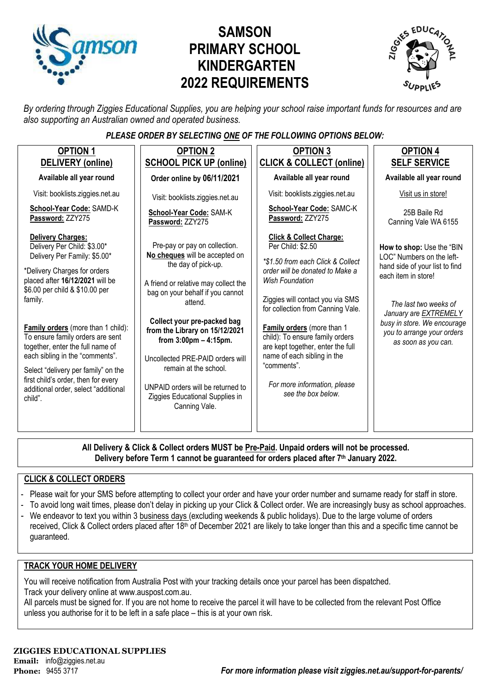

# **SAMSON PRIMARY SCHOOL KINDERGARTEN 2022 REQUIREMENTS**



*By ordering through Ziggies Educational Supplies, you are helping your school raise important funds for resources and are also supporting an Australian owned and operated business.*

#### *PLEASE ORDER BY SELECTING ONE OF THE FOLLOWING OPTIONS BELOW:*

| <b>OPTION 1</b><br>DELIVERY (online)                                                                                                                                                                                                                                                                                                                                                                                                                                                      | <b>OPTION 2</b><br><b>SCHOOL PICK UP (online)</b>                                                                                                                                                                                                                                                                                                                                                                                                | <b>OPTION 3</b><br><b>CLICK &amp; COLLECT (online)</b>                                                                                                                                                                                                                                                                                                                                                                                       | <b>OPTION 4</b><br><b>SELF SERVICE</b>                                                                                                                                                                                                                       |
|-------------------------------------------------------------------------------------------------------------------------------------------------------------------------------------------------------------------------------------------------------------------------------------------------------------------------------------------------------------------------------------------------------------------------------------------------------------------------------------------|--------------------------------------------------------------------------------------------------------------------------------------------------------------------------------------------------------------------------------------------------------------------------------------------------------------------------------------------------------------------------------------------------------------------------------------------------|----------------------------------------------------------------------------------------------------------------------------------------------------------------------------------------------------------------------------------------------------------------------------------------------------------------------------------------------------------------------------------------------------------------------------------------------|--------------------------------------------------------------------------------------------------------------------------------------------------------------------------------------------------------------------------------------------------------------|
| Available all year round                                                                                                                                                                                                                                                                                                                                                                                                                                                                  | Order online by 06/11/2021                                                                                                                                                                                                                                                                                                                                                                                                                       | Available all year round                                                                                                                                                                                                                                                                                                                                                                                                                     | Available all year round                                                                                                                                                                                                                                     |
| Visit: booklists.ziggies.net.au                                                                                                                                                                                                                                                                                                                                                                                                                                                           | Visit: booklists.ziggies.net.au                                                                                                                                                                                                                                                                                                                                                                                                                  | Visit: booklists.ziggies.net.au                                                                                                                                                                                                                                                                                                                                                                                                              | Visit us in store!                                                                                                                                                                                                                                           |
| School-Year Code: SAMD-K<br>Password: ZZY275                                                                                                                                                                                                                                                                                                                                                                                                                                              | School-Year Code: SAM-K<br>Password: ZZY275                                                                                                                                                                                                                                                                                                                                                                                                      | School-Year Code: SAMC-K<br>Password: ZZY275                                                                                                                                                                                                                                                                                                                                                                                                 | 25B Baile Rd<br>Canning Vale WA 6155                                                                                                                                                                                                                         |
| <b>Delivery Charges:</b><br>Delivery Per Child: \$3.00*<br>Delivery Per Family: \$5.00*<br>*Delivery Charges for orders<br>placed after 16/12/2021 will be<br>\$6.00 per child & \$10.00 per<br>family.<br>Family orders (more than 1 child):<br>To ensure family orders are sent<br>together, enter the full name of<br>each sibling in the "comments".<br>Select "delivery per family" on the<br>first child's order, then for every<br>additional order, select "additional<br>child". | Pre-pay or pay on collection.<br>No cheques will be accepted on<br>the day of pick-up.<br>A friend or relative may collect the<br>bag on your behalf if you cannot<br>attend.<br>Collect your pre-packed bag<br>from the Library on 15/12/2021<br>from $3:00 \text{pm} - 4:15 \text{pm}$ .<br>Uncollected PRE-PAID orders will<br>remain at the school.<br>UNPAID orders will be returned to<br>Ziggies Educational Supplies in<br>Canning Vale. | <b>Click &amp; Collect Charge:</b><br>Per Child: \$2.50<br>*\$1.50 from each Click & Collect<br>order will be donated to Make a<br><b>Wish Foundation</b><br>Ziggies will contact you via SMS<br>for collection from Canning Vale.<br>Family orders (more than 1<br>child): To ensure family orders<br>are kept together, enter the full<br>name of each sibling in the<br>"comments".<br>For more information, please<br>see the box below. | How to shop: Use the "BIN<br>LOC" Numbers on the left-<br>hand side of your list to find<br>each item in store!<br>The last two weeks of<br>January are <b>EXTREMELY</b><br>busy in store. We encourage<br>you to arrange your orders<br>as soon as you can. |
|                                                                                                                                                                                                                                                                                                                                                                                                                                                                                           |                                                                                                                                                                                                                                                                                                                                                                                                                                                  |                                                                                                                                                                                                                                                                                                                                                                                                                                              |                                                                                                                                                                                                                                                              |

**All Delivery & Click & Collect orders MUST be Pre-Paid. Unpaid orders will not be processed. Delivery before Term 1 cannot be guaranteed for orders placed after 7th January 2022.**

#### **CLICK & COLLECT ORDERS**

- Please wait for your SMS before attempting to collect your order and have your order number and surname ready for staff in store.
- To avoid long wait times, please don't delay in picking up your Click & Collect order. We are increasingly busy as school approaches.
- We endeavor to text you within 3 business days (excluding weekends & public holidays). Due to the large volume of orders received, Click & Collect orders placed after 18<sup>th</sup> of December 2021 are likely to take longer than this and a specific time cannot be guaranteed.

#### **TRACK YOUR HOME DELIVERY**

You will receive notification from Australia Post with your tracking details once your parcel has been dispatched. Track your delivery online a[t www.auspost.com.au.](http://www.auspost.com.au/)

All parcels must be signed for. If you are not home to receive the parcel it will have to be collected from the relevant Post Office unless you authorise for it to be left in a safe place – this is at your own risk.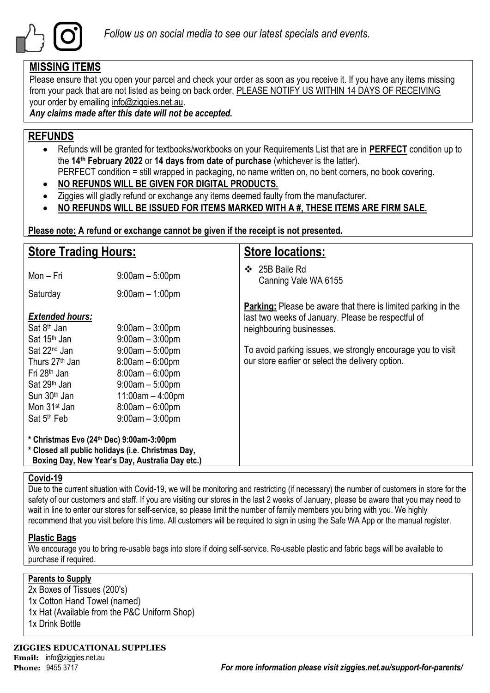

### **MISSING ITEMS**

Please ensure that you open your parcel and check your order as soon as you receive it. If you have any items missing from your pack that are not listed as being on back order, PLEASE NOTIFY US WITHIN 14 DAYS OF RECEIVING your order by emailing info@ziggies.net.au.

*Any claims made after this date will not be accepted.*

### **REFUNDS**

- Refunds will be granted for textbooks/workbooks on your Requirements List that are in **PERFECT** condition up to the **14th February 2022** or **14 days from date of purchase** (whichever is the latter). PERFECT condition = still wrapped in packaging, no name written on, no bent corners, no book covering.
- **NO REFUNDS WILL BE GIVEN FOR DIGITAL PRODUCTS.**
- Ziggies will gladly refund or exchange any items deemed faulty from the manufacturer.
- **NO REFUNDS WILL BE ISSUED FOR ITEMS MARKED WITH A #, THESE ITEMS ARE FIRM SALE.**

**Please note: A refund or exchange cannot be given if the receipt is not presented.**

| <b>Store Trading Hours:</b>                                                                                                                      |                                                                                                        | <b>Store locations:</b>                                                                                                                                                                                                                                                   |  |  |
|--------------------------------------------------------------------------------------------------------------------------------------------------|--------------------------------------------------------------------------------------------------------|---------------------------------------------------------------------------------------------------------------------------------------------------------------------------------------------------------------------------------------------------------------------------|--|--|
| Mon – Fri                                                                                                                                        | $9:00am - 5:00pm$                                                                                      | 25B Baile Rd<br>❖<br>Canning Vale WA 6155                                                                                                                                                                                                                                 |  |  |
| Saturday                                                                                                                                         | $9:00$ am $-1:00$ pm                                                                                   |                                                                                                                                                                                                                                                                           |  |  |
| <b>Extended hours:</b><br>Sat 8 <sup>th</sup> Jan<br>Sat 15 <sup>th</sup> Jan<br>Sat 22 <sup>nd</sup> Jan<br>Thurs 27 <sup>th</sup> Jan          | $9:00$ am $-3:00$ pm<br>$9:00am - 3:00pm$<br>$9:00am - 5:00pm$<br>$8:00am - 6:00pm$                    | <b>Parking:</b> Please be aware that there is limited parking in the<br>last two weeks of January. Please be respectful of<br>neighbouring businesses.<br>To avoid parking issues, we strongly encourage you to visit<br>our store earlier or select the delivery option. |  |  |
| Fri 28 <sup>th</sup> Jan<br>Sat 29 <sup>th</sup> Jan<br>Sun 30 <sup>th</sup> Jan<br>Mon 31 <sup>st</sup> Jan<br>Sat 5 <sup>th</sup> Feb          | $8:00am - 6:00pm$<br>$9:00am - 5:00pm$<br>$11:00am - 4:00pm$<br>$8:00am - 6:00pm$<br>$9:00am - 3:00pm$ |                                                                                                                                                                                                                                                                           |  |  |
| * Christmas Eve (24th Dec) 9:00am-3:00pm<br>* Closed all public holidays (i.e. Christmas Day,<br>Boxing Day, New Year's Day, Australia Day etc.) |                                                                                                        |                                                                                                                                                                                                                                                                           |  |  |

#### **Covid-19**

Due to the current situation with Covid-19, we will be monitoring and restricting (if necessary) the number of customers in store for the safety of our customers and staff. If you are visiting our stores in the last 2 weeks of January, please be aware that you may need to wait in line to enter our stores for self-service, so please limit the number of family members you bring with you. We highly recommend that you visit before this time. All customers will be required to sign in using the Safe WA App or the manual register.

### **Plastic Bags**

We encourage you to bring re-usable bags into store if doing self-service. Re-usable plastic and fabric bags will be available to purchase if required.

#### **Parents to Supply**

2x Boxes of Tissues (200's) 1x Cotton Hand Towel (named) 1x Hat (Available from the P&C Uniform Shop) 1x Drink Bottle